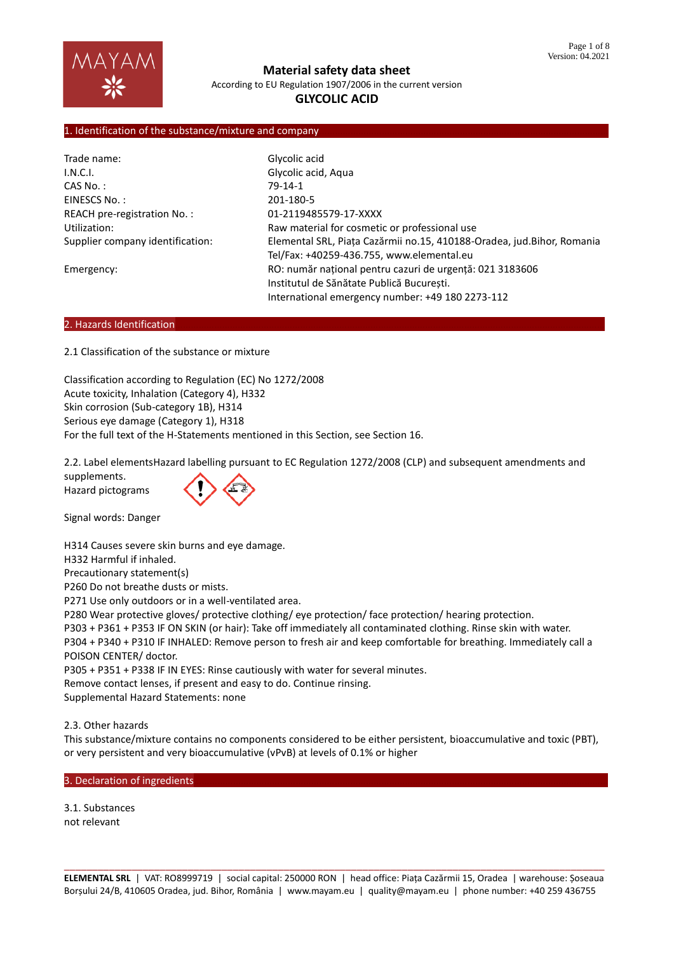

**Material safety data sheet** According to EU Regulation 1907/2006 in the current version

# **GLYCOLIC ACID**

#### 1. Identification of the substance/mixture and company

| Trade name:                      | Glycolic acid                                                                                                                                             |  |
|----------------------------------|-----------------------------------------------------------------------------------------------------------------------------------------------------------|--|
| I.N.C.I.                         | Glycolic acid, Aqua                                                                                                                                       |  |
| $CAS No.$ :                      | $79-14-1$                                                                                                                                                 |  |
| EINESCS No.:                     | 201-180-5                                                                                                                                                 |  |
| REACH pre-registration No.:      | 01-2119485579-17-XXXX                                                                                                                                     |  |
| Utilization:                     | Raw material for cosmetic or professional use                                                                                                             |  |
| Supplier company identification: | Elemental SRL, Piața Cazărmii no.15, 410188-Oradea, jud.Bihor, Romania<br>Tel/Fax: +40259-436.755, www.elemental.eu                                       |  |
| Emergency:                       | RO: număr național pentru cazuri de urgență: 021 3183606<br>Institutul de Sănătate Publică București.<br>International emergency number: +49 180 2273-112 |  |

#### 2. Hazards Identification

2.1 Classification of the substance or mixture

Classification according to Regulation (EC) No 1272/2008 Acute toxicity, Inhalation (Category 4), H332 Skin corrosion (Sub-category 1B), H314 Serious eye damage (Category 1), H318 For the full text of the H-Statements mentioned in this Section, see Section 16.

2.2. Label elementsHazard labelling pursuant to EC Regulation 1272/2008 (CLP) and subsequent amendments and

supplements. Hazard pictograms



Signal words: Danger

H314 Causes severe skin burns and eye damage. H332 Harmful if inhaled. Precautionary statement(s) P260 Do not breathe dusts or mists. P271 Use only outdoors or in a well-ventilated area. P280 Wear protective gloves/ protective clothing/ eye protection/ face protection/ hearing protection. P303 + P361 + P353 IF ON SKIN (or hair): Take off immediately all contaminated clothing. Rinse skin with water. P304 + P340 + P310 IF INHALED: Remove person to fresh air and keep comfortable for breathing. Immediately call a POISON CENTER/ doctor. P305 + P351 + P338 IF IN EYES: Rinse cautiously with water for several minutes.

Remove contact lenses, if present and easy to do. Continue rinsing.

Supplemental Hazard Statements: none

2.3. Other hazards

This substance/mixture contains no components considered to be either persistent, bioaccumulative and toxic (PBT), or very persistent and very bioaccumulative (vPvB) at levels of 0.1% or higher

3. Declaration of ingredients

3.1. Substances not relevant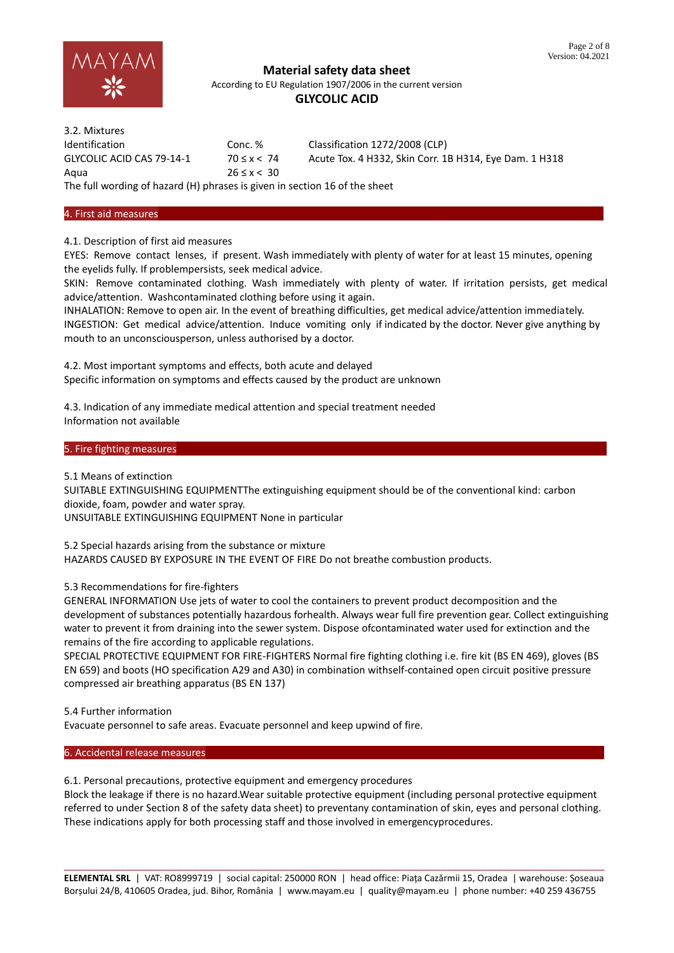

According to EU Regulation 1907/2006 in the current version

# **GLYCOLIC ACID**

| 3.2. Mixtures                                                              |                 |                                                        |
|----------------------------------------------------------------------------|-----------------|--------------------------------------------------------|
| <b>Identification</b>                                                      | Conc. %         | Classification 1272/2008 (CLP)                         |
| GLYCOLIC ACID CAS 79-14-1                                                  | $70 \le x < 74$ | Acute Tox. 4 H332, Skin Corr. 1B H314, Eye Dam. 1 H318 |
| Agua                                                                       | $26 \le x < 30$ |                                                        |
| The full wording of hazard (H) phrases is given in section 16 of the sheet |                 |                                                        |

# 4. First aid measures………………………………………………………………………………………………………………………………………………………

4.1. Description of first aid measures

EYES: Remove contact lenses, if present. Wash immediately with plenty of water for at least 15 minutes, opening the eyelids fully. If problempersists, seek medical advice.

SKIN: Remove contaminated clothing. Wash immediately with plenty of water. If irritation persists, get medical advice/attention. Washcontaminated clothing before using it again.

INHALATION: Remove to open air. In the event of breathing difficulties, get medical advice/attention immediately. INGESTION: Get medical advice/attention. Induce vomiting only if indicated by the doctor. Never give anything by mouth to an unconsciousperson, unless authorised by a doctor.

4.2. Most important symptoms and effects, both acute and delayed Specific information on symptoms and effects caused by the product are unknown

4.3. Indication of any immediate medical attention and special treatment needed Information not available

#### 5. Fire fighting measures

5.1 Means of extinction

SUITABLE EXTINGUISHING EQUIPMENTThe extinguishing equipment should be of the conventional kind: carbon dioxide, foam, powder and water spray.

UNSUITABLE EXTINGUISHING EQUIPMENT None in particular

5.2 Special hazards arising from the substance or mixture

HAZARDS CAUSED BY EXPOSURE IN THE EVENT OF FIRE Do not breathe combustion products.

5.3 Recommendations for fire-fighters

GENERAL INFORMATION Use jets of water to cool the containers to prevent product decomposition and the development of substances potentially hazardous forhealth. Always wear full fire prevention gear. Collect extinguishing water to prevent it from draining into the sewer system. Dispose ofcontaminated water used for extinction and the remains of the fire according to applicable regulations.

SPECIAL PROTECTIVE EQUIPMENT FOR FIRE-FIGHTERS Normal fire fighting clothing i.e. fire kit (BS EN 469), gloves (BS EN 659) and boots (HO specification A29 and A30) in combination withself-contained open circuit positive pressure compressed air breathing apparatus (BS EN 137)

5.4 Further information Evacuate personnel to safe areas. Evacuate personnel and keep upwind of fire.

6. Accidental release measures

6.1. Personal precautions, protective equipment and emergency procedures

Block the leakage if there is no hazard.Wear suitable protective equipment (including personal protective equipment referred to under Section 8 of the safety data sheet) to preventany contamination of skin, eyes and personal clothing. These indications apply for both processing staff and those involved in emergencyprocedures.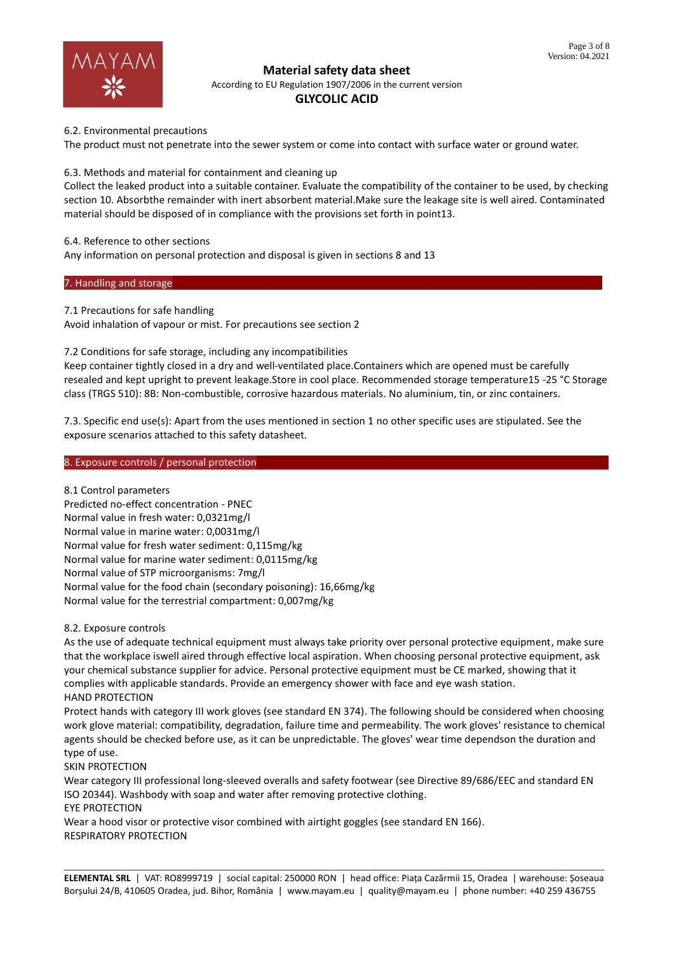

According to EU Regulation 1907/2006 in the current version

## **GLYCOLIC ACID**

6.2. Environmental precautions

The product must not penetrate into the sewer system or come into contact with surface water or ground water.

6.3. Methods and material for containment and cleaning up

Collect the leaked product into a suitable container. Evaluate the compatibility of the container to be used, by checking section 10. Absorbthe remainder with inert absorbent material.Make sure the leakage site is well aired. Contaminated material should be disposed of in compliance with the provisions set forth in point13.

6.4. Reference to other sections

Any information on personal protection and disposal is given in sections 8 and 13

7. Handling and storage

7.1 Precautions for safe handling

Avoid inhalation of vapour or mist. For precautions see section 2

7.2 Conditions for safe storage, including any incompatibilities

Keep container tightly closed in a dry and well-ventilated place.Containers which are opened must be carefully resealed and kept upright to prevent leakage.Store in cool place. Recommended storage temperature15 -25 °C Storage class (TRGS 510): 8B: Non-combustible, corrosive hazardous materials. No aluminium, tin, or zinc containers.

7.3. Specific end use(s): Apart from the uses mentioned in section 1 no other specific uses are stipulated. See the exposure scenarios attached to this safety datasheet.

8. Exposure controls / personal protection

8.1 Control parameters Predicted no-effect concentration - PNEC Normal value in fresh water: 0,0321mg/l Normal value in marine water: 0,0031mg/l Normal value for fresh water sediment: 0,115mg/kg Normal value for marine water sediment: 0,0115mg/kg Normal value of STP microorganisms: 7mg/l Normal value for the food chain (secondary poisoning): 16,66mg/kg Normal value for the terrestrial compartment: 0,007mg/kg

8.2. Exposure controls

As the use of adequate technical equipment must always take priority over personal protective equipment, make sure that the workplace iswell aired through effective local aspiration. When choosing personal protective equipment, ask your chemical substance supplier for advice. Personal protective equipment must be CE marked, showing that it complies with applicable standards. Provide an emergency shower with face and eye wash station. HAND PROTECTION

Protect hands with category III work gloves (see standard EN 374). The following should be considered when choosing work glove material: compatibility, degradation, failure time and permeability. The work gloves' resistance to chemical agents should be checked before use, as it can be unpredictable. The gloves' wear time dependson the duration and type of use.

SKIN PROTECTION

Wear category III professional long-sleeved overalls and safety footwear (see Directive 89/686/EEC and standard EN ISO 20344). Washbody with soap and water after removing protective clothing.

EYE PROTECTION

Wear a hood visor or protective visor combined with airtight goggles (see standard EN 166). RESPIRATORY PROTECTION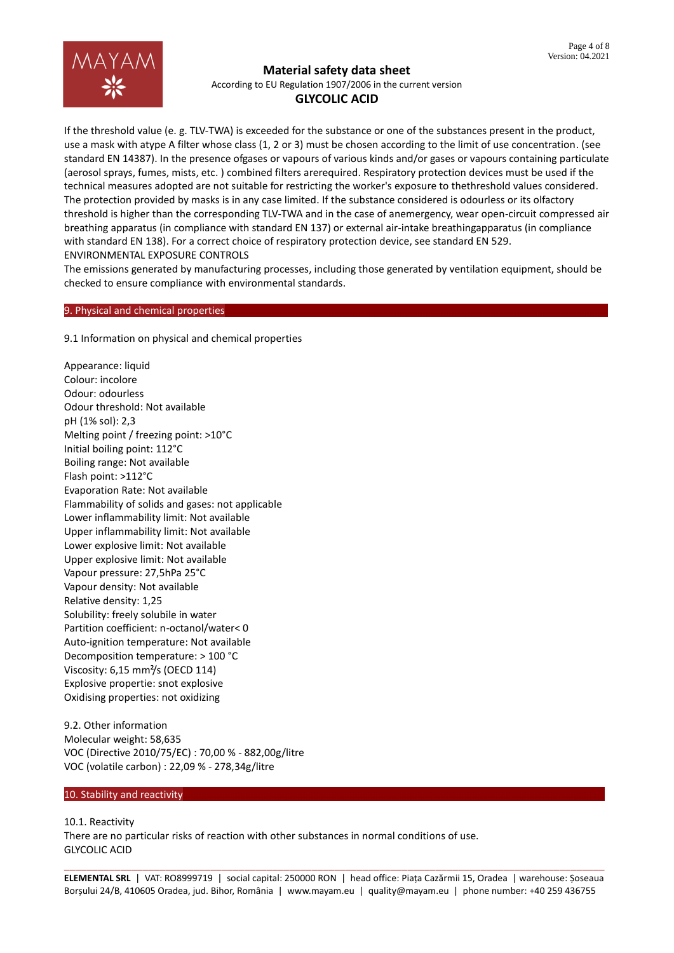

According to EU Regulation 1907/2006 in the current version

# **GLYCOLIC ACID**

If the threshold value (e. g. TLV-TWA) is exceeded for the substance or one of the substances present in the product, use a mask with atype A filter whose class (1, 2 or 3) must be chosen according to the limit of use concentration. (see standard EN 14387). In the presence ofgases or vapours of various kinds and/or gases or vapours containing particulate (aerosol sprays, fumes, mists, etc. ) combined filters arerequired. Respiratory protection devices must be used if the technical measures adopted are not suitable for restricting the worker's exposure to thethreshold values considered. The protection provided by masks is in any case limited. If the substance considered is odourless or its olfactory threshold is higher than the corresponding TLV-TWA and in the case of anemergency, wear open-circuit compressed air breathing apparatus (in compliance with standard EN 137) or external air-intake breathingapparatus (in compliance with standard EN 138). For a correct choice of respiratory protection device, see standard EN 529. ENVIRONMENTAL EXPOSURE CONTROLS

The emissions generated by manufacturing processes, including those generated by ventilation equipment, should be checked to ensure compliance with environmental standards.

# 9. Physical and chemical properties

9.1 Information on physical and chemical properties

Appearance: liquid Colour: incolore Odour: odourless Odour threshold: Not available pH (1% sol): 2,3 Melting point / freezing point: >10°C Initial boiling point: 112°C Boiling range: Not available Flash point: >112°C Evaporation Rate: Not available Flammability of solids and gases: not applicable Lower inflammability limit: Not available Upper inflammability limit: Not available Lower explosive limit: Not available Upper explosive limit: Not available Vapour pressure: 27,5hPa 25°C Vapour density: Not available Relative density: 1,25 Solubility: freely solubile in water Partition coefficient: n-octanol/water< 0 Auto-ignition temperature: Not available Decomposition temperature: > 100 °C Viscosity: 6,15 mm²/s (OECD 114) Explosive propertie: snot explosive Oxidising properties: not oxidizing

9.2. Other information Molecular weight: 58,635 VOC (Directive 2010/75/EC) : 70,00 % - 882,00g/litre VOC (volatile carbon) : 22,09 % - 278,34g/litre

#### 10. Stability and reactivity

10.1. Reactivity There are no particular risks of reaction with other substances in normal conditions of use. GLYCOLIC ACID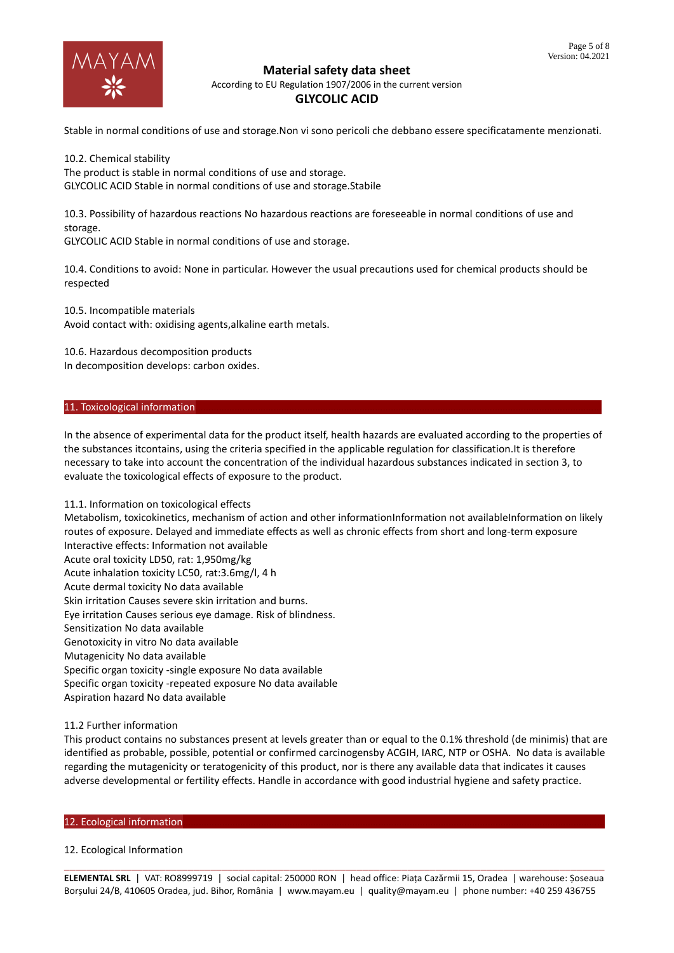

According to EU Regulation 1907/2006 in the current version

## **GLYCOLIC ACID**

Stable in normal conditions of use and storage.Non vi sono pericoli che debbano essere specificatamente menzionati.

10.2. Chemical stability The product is stable in normal conditions of use and storage. GLYCOLIC ACID Stable in normal conditions of use and storage.Stabile

10.3. Possibility of hazardous reactions No hazardous reactions are foreseeable in normal conditions of use and storage.

GLYCOLIC ACID Stable in normal conditions of use and storage.

10.4. Conditions to avoid: None in particular. However the usual precautions used for chemical products should be respected

10.5. Incompatible materials Avoid contact with: oxidising agents,alkaline earth metals.

10.6. Hazardous decomposition products In decomposition develops: carbon oxides.

#### 11. Toxicological information

In the absence of experimental data for the product itself, health hazards are evaluated according to the properties of the substances itcontains, using the criteria specified in the applicable regulation for classification.It is therefore necessary to take into account the concentration of the individual hazardous substances indicated in section 3, to evaluate the toxicological effects of exposure to the product.

#### 11.1. Information on toxicological effects

Metabolism, toxicokinetics, mechanism of action and other informationInformation not availableInformation on likely routes of exposure. Delayed and immediate effects as well as chronic effects from short and long-term exposure Interactive effects: Information not available Acute oral toxicity LD50, rat: 1,950mg/kg Acute inhalation toxicity LC50, rat:3.6mg/l, 4 h Acute dermal toxicity No data available Skin irritation Causes severe skin irritation and burns. Eye irritation Causes serious eye damage. Risk of blindness. Sensitization No data available Genotoxicity in vitro No data available Mutagenicity No data available Specific organ toxicity -single exposure No data available Specific organ toxicity -repeated exposure No data available Aspiration hazard No data available

# 11.2 Further information

This product contains no substances present at levels greater than or equal to the 0.1% threshold (de minimis) that are identified as probable, possible, potential or confirmed carcinogensby ACGIH, IARC, NTP or OSHA. No data is available regarding the mutagenicity or teratogenicity of this product, nor is there any available data that indicates it causes adverse developmental or fertility effects. Handle in accordance with good industrial hygiene and safety practice.

#### 12. Ecological information

#### 12. Ecological Information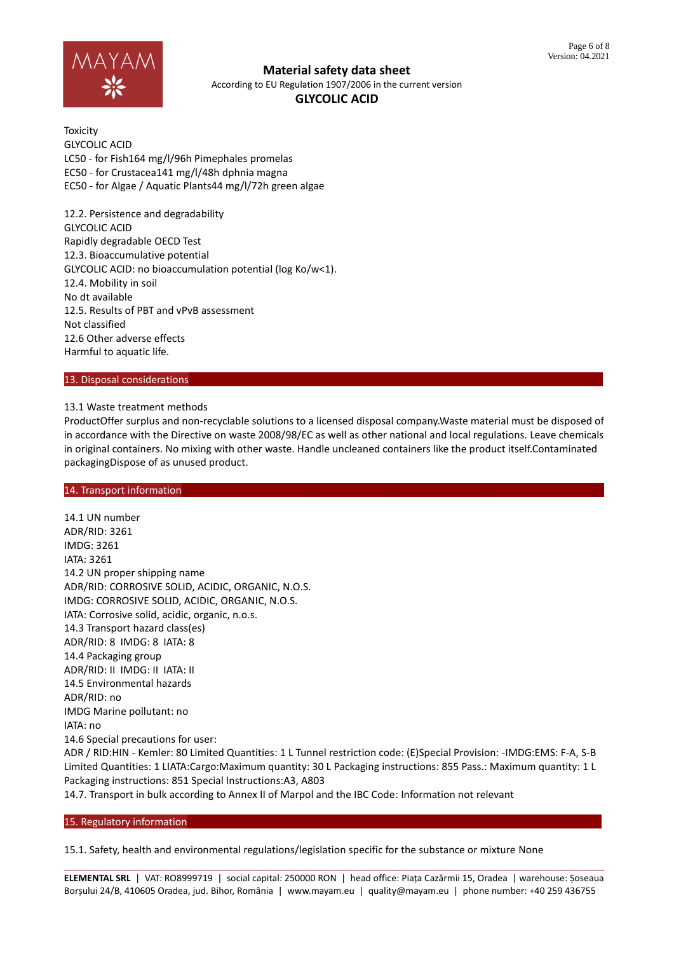

**Material safety data sheet** According to EU Regulation 1907/2006 in the current version

# **GLYCOLIC ACID**

**Toxicity** GLYCOLIC ACID LC50 - for Fish164 mg/l/96h Pimephales promelas EC50 - for Crustacea141 mg/l/48h dphnia magna EC50 - for Algae / Aquatic Plants44 mg/l/72h green algae

12.2. Persistence and degradability GLYCOLIC ACID Rapidly degradable OECD Test 12.3. Bioaccumulative potential GLYCOLIC ACID: no bioaccumulation potential (log Ko/w<1). 12.4. Mobility in soil No dt available 12.5. Results of PBT and vPvB assessment Not classified 12.6 Other adverse effects Harmful to aquatic life.

#### 13. Disposal considerations

#### 13.1 Waste treatment methods

ProductOffer surplus and non-recyclable solutions to a licensed disposal company.Waste material must be disposed of in accordance with the Directive on waste 2008/98/EC as well as other national and local regulations. Leave chemicals in original containers. No mixing with other waste. Handle uncleaned containers like the product itself.Contaminated packagingDispose of as unused product.

#### 14. Transport information

14.1 UN number ADR/RID: 3261 IMDG: 3261 IATA: 3261 14.2 UN proper shipping name ADR/RID: CORROSIVE SOLID, ACIDIC, ORGANIC, N.O.S. IMDG: CORROSIVE SOLID, ACIDIC, ORGANIC, N.O.S. IATA: Corrosive solid, acidic, organic, n.o.s. 14.3 Transport hazard class(es) ADR/RID: 8 IMDG: 8 IATA: 8 14.4 Packaging group ADR/RID: II IMDG: II IATA: II 14.5 Environmental hazards ADR/RID: no IMDG Marine pollutant: no IATA: no 14.6 Special precautions for user: ADR / RID:HIN - Kemler: 80 Limited Quantities: 1 L Tunnel restriction code: (E)Special Provision: -IMDG:EMS: F-A, S-B Limited Quantities: 1 LIATA:Cargo:Maximum quantity: 30 L Packaging instructions: 855 Pass.: Maximum quantity: 1 L Packaging instructions: 851 Special Instructions:A3, A803 14.7. Transport in bulk according to Annex II of Marpol and the IBC Code: Information not relevant

#### 15. Regulatory information

15.1. Safety, health and environmental regulations/legislation specific for the substance or mixture None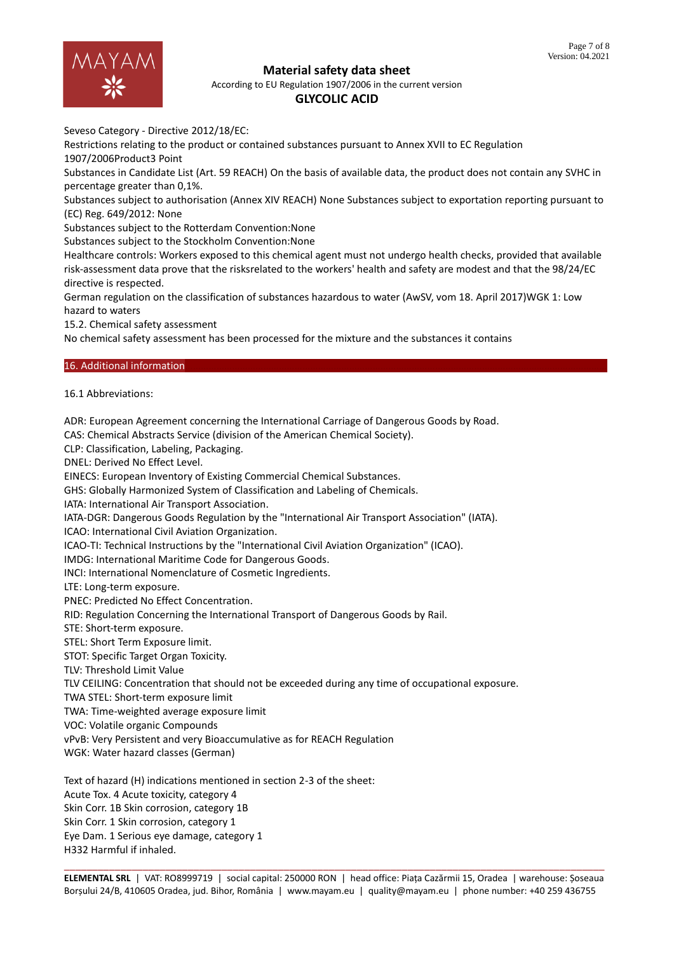

According to EU Regulation 1907/2006 in the current version

# **GLYCOLIC ACID**

Seveso Category - Directive 2012/18/EC:

Restrictions relating to the product or contained substances pursuant to Annex XVII to EC Regulation 1907/2006Product3 Point

Substances in Candidate List (Art. 59 REACH) On the basis of available data, the product does not contain any SVHC in percentage greater than 0,1%.

Substances subject to authorisation (Annex XIV REACH) None Substances subject to exportation reporting pursuant to (EC) Reg. 649/2012: None

Substances subject to the Rotterdam Convention:None

Substances subject to the Stockholm Convention:None

Healthcare controls: Workers exposed to this chemical agent must not undergo health checks, provided that available risk-assessment data prove that the risksrelated to the workers' health and safety are modest and that the 98/24/EC directive is respected.

German regulation on the classification of substances hazardous to water (AwSV, vom 18. April 2017)WGK 1: Low hazard to waters

15.2. Chemical safety assessment

No chemical safety assessment has been processed for the mixture and the substances it contains

#### 16. Additional information

16.1 Abbreviations:

ADR: European Agreement concerning the International Carriage of Dangerous Goods by Road.

CAS: Chemical Abstracts Service (division of the American Chemical Society).

CLP: Classification, Labeling, Packaging.

DNEL: Derived No Effect Level.

EINECS: European Inventory of Existing Commercial Chemical Substances.

GHS: Globally Harmonized System of Classification and Labeling of Chemicals.

IATA: International Air Transport Association.

IATA-DGR: Dangerous Goods Regulation by the "International Air Transport Association" (IATA).

ICAO: International Civil Aviation Organization.

ICAO-TI: Technical Instructions by the "International Civil Aviation Organization" (ICAO).

IMDG: International Maritime Code for Dangerous Goods.

INCI: International Nomenclature of Cosmetic Ingredients.

LTE: Long-term exposure.

PNEC: Predicted No Effect Concentration.

RID: Regulation Concerning the International Transport of Dangerous Goods by Rail.

STE: Short-term exposure.

STEL: Short Term Exposure limit.

STOT: Specific Target Organ Toxicity.

TLV: Threshold Limit Value

TLV CEILING: Concentration that should not be exceeded during any time of occupational exposure.

TWA STEL: Short-term exposure limit

TWA: Time-weighted average exposure limit

VOC: Volatile organic Compounds

vPvB: Very Persistent and very Bioaccumulative as for REACH Regulation

WGK: Water hazard classes (German)

Text of hazard (H) indications mentioned in section 2-3 of the sheet: Acute Tox. 4 Acute toxicity, category 4 Skin Corr. 1B Skin corrosion, category 1B Skin Corr. 1 Skin corrosion, category 1 Eye Dam. 1 Serious eye damage, category 1 H332 Harmful if inhaled.